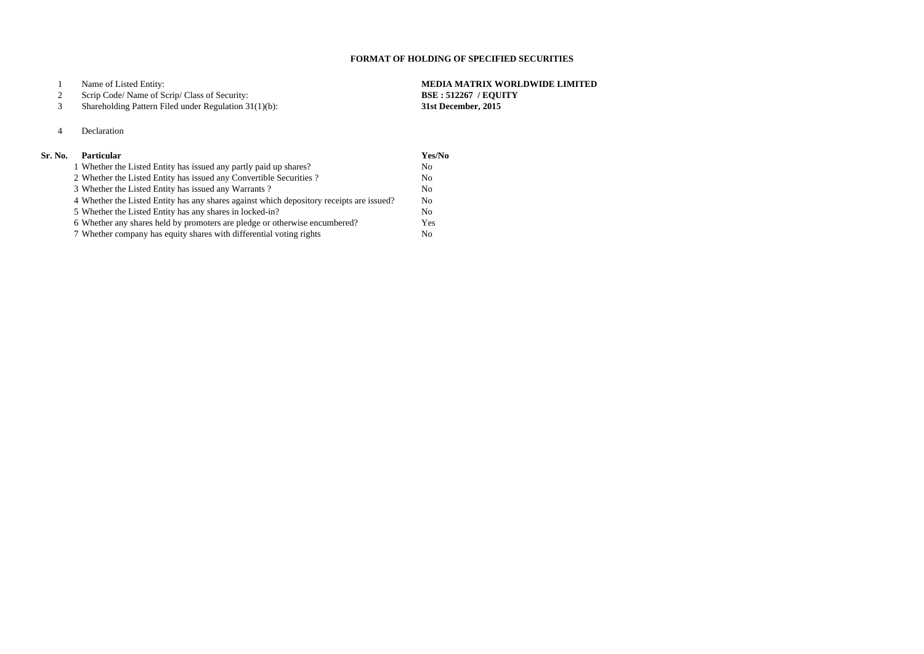# Name of Listed Entity: **MEDIA MATRIX WORLDWIDE LIMITED**

## Scrip Code/ Name of Scrip/ Class of Security: **BSE : 512267 / EQUITY**

Shareholding Pattern Filed under Regulation 31(1)(b): **31st December, 2015**

## Declaration

# **Sr. No. Particular**

| <b>Particular</b>                                                                        | Yes/No         |
|------------------------------------------------------------------------------------------|----------------|
| 1 Whether the Listed Entity has issued any partly paid up shares?                        | N <sub>0</sub> |
| 2 Whether the Listed Entity has issued any Convertible Securities?                       | N <sub>0</sub> |
| 3 Whether the Listed Entity has issued any Warrants?                                     | N <sub>0</sub> |
| 4 Whether the Listed Entity has any shares against which depository receipts are issued? | N <sub>0</sub> |
| 5 Whether the Listed Entity has any shares in locked-in?                                 | N <sub>0</sub> |
| 6 Whether any shares held by promoters are pledge or otherwise encumbered?               | Yes            |
| 7 Whether company has equity shares with differential voting rights                      | N <sub>0</sub> |

# **FORMAT OF HOLDING OF SPECIFIED SECURITIES**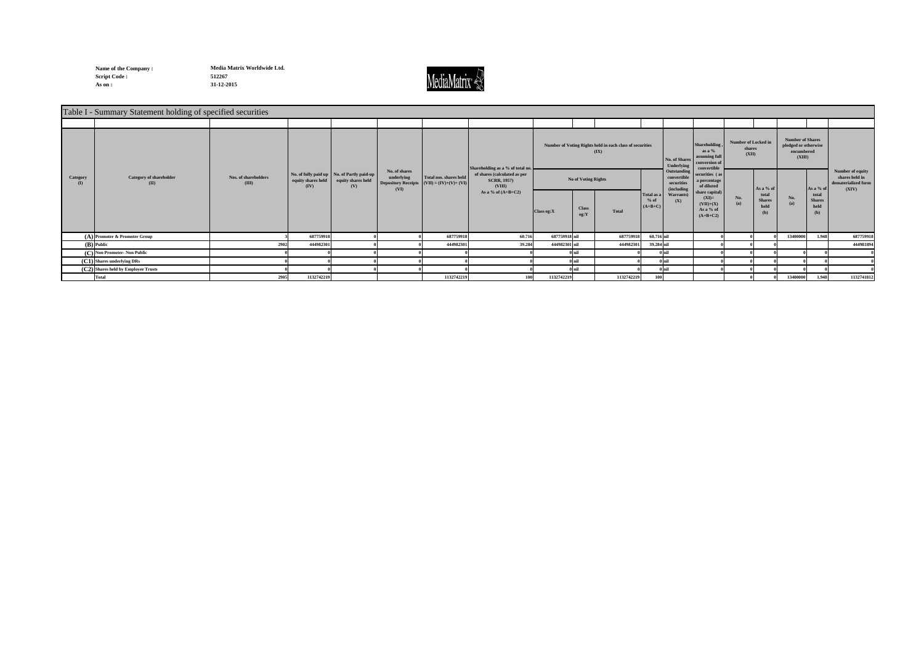**Name of the Company : Script Code : 512267 As on : 31-12-2015**

**Media Matrix Worldwide Ltd.**



|          | Table I - Summary Statement holding of specified securities |                               |                            |                                                                           |                                     |                                                                       |                                                              |               |                      |                                                                  |                                                        |                                                                                |                                        |                                       |                                                                         |                                                          |                                                                    |
|----------|-------------------------------------------------------------|-------------------------------|----------------------------|---------------------------------------------------------------------------|-------------------------------------|-----------------------------------------------------------------------|--------------------------------------------------------------|---------------|----------------------|------------------------------------------------------------------|--------------------------------------------------------|--------------------------------------------------------------------------------|----------------------------------------|---------------------------------------|-------------------------------------------------------------------------|----------------------------------------------------------|--------------------------------------------------------------------|
|          |                                                             |                               |                            |                                                                           |                                     |                                                                       |                                                              |               |                      |                                                                  |                                                        |                                                                                |                                        |                                       |                                                                         |                                                          |                                                                    |
|          | <b>Category of shareholder</b><br>(II)                      | Nos. of shareholders<br>(III) |                            |                                                                           |                                     |                                                                       | Shareholding as a % of total no                              |               |                      | Number of Voting Rights held in each class of securities<br>(IX) | No. of Shares<br>Underlying                            | <b>Shareholding</b><br>as a %<br>assuming full<br>conversion of<br>convertible | Number of Locked in<br>shares<br>(XII) |                                       | <b>Number of Shares</b><br>pledged or otherwise<br>encumbered<br>(XIII) |                                                          |                                                                    |
| Category |                                                             |                               | equity shares held<br>(IV) | No. of fully paid up   No. of Partly paid-up<br>equity shares held<br>(V) | No. of shares<br>underlying<br>(VI) | Total nos. shares held<br>Depository Receipts $(VII) = (IV)+(V)+(VI)$ | of shares (calculated as per<br><b>SCRR, 1957)</b><br>(VIII) |               | No of Voting Rights  |                                                                  | Outstanding<br>convertible<br>securities<br>(including | securities (as<br>a percentage<br>of diluted                                   |                                        | As a % of                             |                                                                         | As a % $\sigma$<br>total<br><b>Shares</b><br>held<br>(b) | Number of equity<br>shares held in<br>dematerialized form<br>(XIV) |
|          |                                                             |                               |                            |                                                                           |                                     |                                                                       | As a % of $(A+B+C2)$                                         | Class eg:X    | <b>Class</b><br>eg:Y | <b>Total</b>                                                     | Total as a<br>Warrants)<br>$%$ of<br>(X)<br>$(A+B+C)$  | share capital)<br>$(XI)=$<br>$(VII)+(X)$<br>As a % of<br>$(A+B+C2)$            | No.<br>(a)                             | total<br><b>Shares</b><br>held<br>(b) | No.<br>(a)                                                              |                                                          |                                                                    |
|          | $(A)$ Promoter & Promoter Group                             |                               | 687759918                  |                                                                           |                                     | 687759918                                                             | 60.716                                                       | 687759918 nil |                      | 687759918                                                        | 60.716 nil                                             |                                                                                |                                        |                                       | 13400000                                                                | 1.948                                                    | 687759918                                                          |
|          | (B) Public                                                  | 2902                          | 444982301                  |                                                                           |                                     | 444982301                                                             | 39.284                                                       | 444982301 nil |                      | 444982301                                                        | 39.284 nil                                             |                                                                                |                                        |                                       |                                                                         |                                                          | 444981894                                                          |
|          | (C) Non Promoter- Non Public                                |                               |                            |                                                                           |                                     |                                                                       |                                                              |               | 0 nil                |                                                                  | $0$ nil                                                |                                                                                |                                        |                                       |                                                                         |                                                          |                                                                    |
|          | $(C1)$ Shares underlying DRs                                |                               |                            |                                                                           |                                     |                                                                       |                                                              |               | 0 nil                |                                                                  | 0 nil                                                  |                                                                                |                                        |                                       |                                                                         |                                                          |                                                                    |
|          | (C2) Shares held by Employee Trusts                         |                               |                            |                                                                           |                                     |                                                                       |                                                              |               |                      |                                                                  |                                                        |                                                                                |                                        |                                       |                                                                         |                                                          |                                                                    |
|          | <b>Total</b>                                                | 2905                          | 1132742219                 |                                                                           |                                     | 1132742219                                                            | 100                                                          | 1132742219    |                      | 1132742219                                                       | 100                                                    |                                                                                |                                        |                                       | 13400000                                                                | 1.948                                                    | 1132741812                                                         |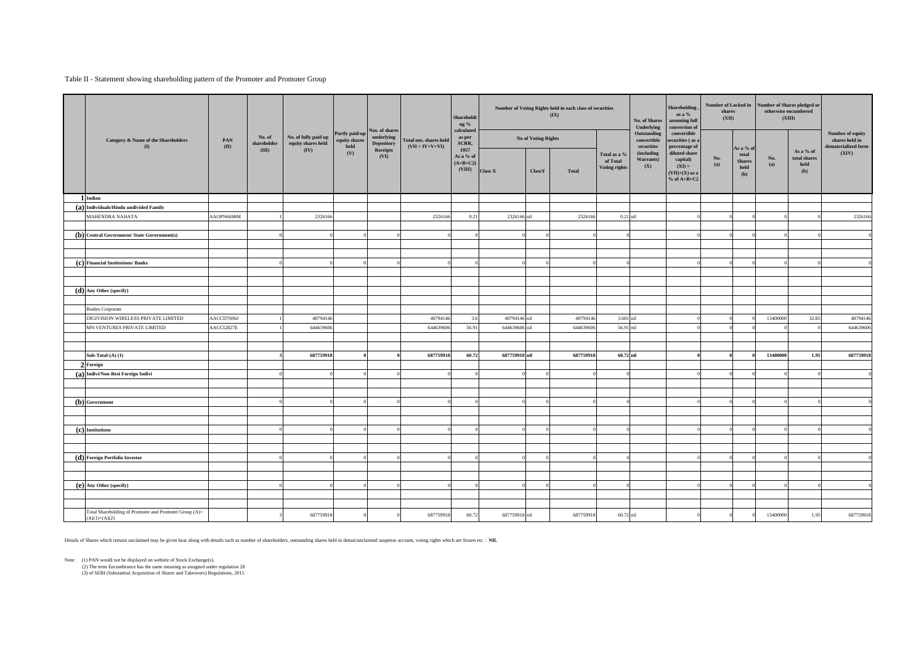### Table II - Statement showing shareholding pattern of the Promoter and Promoter Group

|                                                                           |             |                               |                                            |                                         |                                                   |                                             | Shareholdi<br>ng %                        |                           |                     | Number of Voting Rights held in each class of securities<br>$(\mathbf{IX})$ |                                           | <b>No. of Shares</b><br>Underlying               | Shareholding,<br>as a $\%$<br>assuming full<br>conversion of               | Number of Locked in Number of Shares pledged or<br>shares<br>(XII) |                                                    |            | otherwise encumbered<br>(XIII)                            |                       |
|---------------------------------------------------------------------------|-------------|-------------------------------|--------------------------------------------|-----------------------------------------|---------------------------------------------------|---------------------------------------------|-------------------------------------------|---------------------------|---------------------|-----------------------------------------------------------------------------|-------------------------------------------|--------------------------------------------------|----------------------------------------------------------------------------|--------------------------------------------------------------------|----------------------------------------------------|------------|-----------------------------------------------------------|-----------------------|
| <b>Category &amp; Name of the Shareholders</b><br>(I)                     | PAN<br>(II) | No. of<br>${\tt shareholder}$ | No. of fully paid up<br>equity shares held | Partly paid-up<br>equity shares<br>held | Nos. of shares<br>underlying<br><b>Depository</b> | Total nos. shares held<br>$(VII = IV+V+VI)$ | calculated<br>as per<br>SCRR,             |                           | No of Voting Rights |                                                                             | Outstanding<br>convertible<br>securities  | convertible<br>securities (as a<br>percentage of |                                                                            |                                                                    |                                                    |            | Number of equity<br>shares held in<br>dematerialized form |                       |
|                                                                           |             | (III)                         | (IV)                                       | (V)                                     | Receipts<br>(VI)                                  |                                             | 1957<br>As a % of<br>$(A+B+C2)$<br>(VIII) | Class X                   | ClassY              | Total                                                                       | Total as a %<br>of Total<br>Voting rights | (including<br>Warrants)<br>(X)                   | diluted share<br>capital)<br>$(XI) =$<br>$(VII)+(X)$ as a<br>$%$ of A+B+C2 | No.<br>(a)                                                         | As a % of<br>total<br><b>Shares</b><br>held<br>(b) | No.<br>(a) | As a % of<br>total shares<br>held<br>(b)                  | (XIV)                 |
| 1 Indian                                                                  |             |                               |                                            |                                         |                                                   |                                             |                                           |                           |                     |                                                                             |                                           |                                                  |                                                                            |                                                                    |                                                    |            |                                                           |                       |
| $(a)$ Individuals/Hindu undivided Family                                  |             |                               |                                            |                                         |                                                   |                                             |                                           |                           |                     |                                                                             |                                           |                                                  |                                                                            |                                                                    |                                                    |            |                                                           |                       |
| <b>MAHENDRA NAHATA</b>                                                    | AAOPN6698M  |                               | 2326166                                    |                                         |                                                   | 2326166                                     | 0.21                                      | 2326166 nil               |                     | 2326166                                                                     | $0.21$ nil                                |                                                  |                                                                            |                                                                    |                                                    |            |                                                           | 2326166               |
|                                                                           |             |                               |                                            |                                         |                                                   |                                             |                                           |                           |                     |                                                                             |                                           |                                                  |                                                                            |                                                                    |                                                    |            |                                                           |                       |
| (b) Central Government/ State Government(s)                               |             |                               |                                            |                                         |                                                   |                                             |                                           |                           |                     |                                                                             |                                           |                                                  |                                                                            |                                                                    |                                                    |            |                                                           |                       |
|                                                                           |             |                               |                                            |                                         |                                                   |                                             |                                           |                           |                     |                                                                             |                                           |                                                  |                                                                            |                                                                    |                                                    |            |                                                           |                       |
|                                                                           |             |                               |                                            |                                         |                                                   |                                             |                                           |                           |                     |                                                                             |                                           |                                                  |                                                                            |                                                                    |                                                    |            |                                                           |                       |
| (c) Financial Institutions/ Banks                                         |             |                               |                                            |                                         |                                                   |                                             |                                           |                           |                     |                                                                             |                                           |                                                  |                                                                            |                                                                    |                                                    |            |                                                           |                       |
|                                                                           |             |                               |                                            |                                         |                                                   |                                             |                                           |                           |                     |                                                                             |                                           |                                                  |                                                                            |                                                                    |                                                    |            |                                                           |                       |
|                                                                           |             |                               |                                            |                                         |                                                   |                                             |                                           |                           |                     |                                                                             |                                           |                                                  |                                                                            |                                                                    |                                                    |            |                                                           |                       |
| $(d)$ Any Other (specify)                                                 |             |                               |                                            |                                         |                                                   |                                             |                                           |                           |                     |                                                                             |                                           |                                                  |                                                                            |                                                                    |                                                    |            |                                                           |                       |
|                                                                           |             |                               |                                            |                                         |                                                   |                                             |                                           |                           |                     |                                                                             |                                           |                                                  |                                                                            |                                                                    |                                                    |            |                                                           |                       |
| <b>Bodies Corporate</b><br>DIGIVISION WIRELESS PRIVATE LIMITED            |             |                               |                                            |                                         |                                                   |                                             |                                           |                           |                     |                                                                             |                                           |                                                  |                                                                            |                                                                    |                                                    |            |                                                           |                       |
| MN VENTURES PRIVATE LIMITED                                               | AACCD7696J  |                               | 40794146<br>644639606                      |                                         |                                                   | 40794146<br>644639606                       | 56.91                                     | 40794146 nil<br>644639606 | nil                 | 40794146<br>644639606                                                       | 3.601 nil<br>56.91 nil                    |                                                  |                                                                            |                                                                    |                                                    | 13400000   | 32.85                                                     | 40794146<br>644639606 |
|                                                                           | AACCI2827E  |                               |                                            |                                         |                                                   |                                             |                                           |                           |                     |                                                                             |                                           |                                                  |                                                                            |                                                                    |                                                    |            |                                                           |                       |
|                                                                           |             |                               |                                            |                                         |                                                   |                                             |                                           |                           |                     |                                                                             |                                           |                                                  |                                                                            |                                                                    |                                                    |            |                                                           |                       |
| Sub-Total- $(A)$ $(1)$                                                    |             |                               | 687759918                                  |                                         |                                                   | 687759918                                   | 60.72                                     | 687759918 nil             |                     | 687759918                                                                   | 60.72 nil                                 |                                                  |                                                                            |                                                                    |                                                    | 13400000   | 1.95                                                      | 687759918             |
| 2 Foreign                                                                 |             |                               |                                            |                                         |                                                   |                                             |                                           |                           |                     |                                                                             |                                           |                                                  |                                                                            |                                                                    |                                                    |            |                                                           |                       |
| (a) Indivi/Non-Resi Foreign Indivi                                        |             |                               |                                            |                                         |                                                   |                                             |                                           |                           |                     |                                                                             |                                           |                                                  |                                                                            |                                                                    |                                                    |            |                                                           |                       |
|                                                                           |             |                               |                                            |                                         |                                                   |                                             |                                           |                           |                     |                                                                             |                                           |                                                  |                                                                            |                                                                    |                                                    |            |                                                           |                       |
|                                                                           |             |                               |                                            |                                         |                                                   |                                             |                                           |                           |                     |                                                                             |                                           |                                                  |                                                                            |                                                                    |                                                    |            |                                                           |                       |
| (b) Government                                                            |             |                               |                                            |                                         |                                                   |                                             |                                           |                           |                     |                                                                             |                                           |                                                  |                                                                            |                                                                    |                                                    |            |                                                           |                       |
|                                                                           |             |                               |                                            |                                         |                                                   |                                             |                                           |                           |                     |                                                                             |                                           |                                                  |                                                                            |                                                                    |                                                    |            |                                                           |                       |
|                                                                           |             |                               |                                            |                                         |                                                   |                                             |                                           |                           |                     |                                                                             |                                           |                                                  |                                                                            |                                                                    |                                                    |            |                                                           |                       |
| (c) Institutions                                                          |             |                               |                                            |                                         |                                                   |                                             |                                           |                           |                     |                                                                             |                                           |                                                  |                                                                            |                                                                    |                                                    |            |                                                           |                       |
|                                                                           |             |                               |                                            |                                         |                                                   |                                             |                                           |                           |                     |                                                                             |                                           |                                                  |                                                                            |                                                                    |                                                    |            |                                                           |                       |
|                                                                           |             |                               |                                            |                                         |                                                   |                                             |                                           |                           |                     |                                                                             |                                           |                                                  |                                                                            |                                                                    |                                                    |            |                                                           |                       |
| $(d)$ Foreign Portfolio Investor                                          |             |                               |                                            |                                         |                                                   |                                             |                                           |                           | ſ                   |                                                                             |                                           |                                                  |                                                                            |                                                                    |                                                    |            |                                                           |                       |
|                                                                           |             |                               |                                            |                                         |                                                   |                                             |                                           |                           |                     |                                                                             |                                           |                                                  |                                                                            |                                                                    |                                                    |            |                                                           |                       |
|                                                                           |             |                               |                                            |                                         |                                                   |                                             |                                           |                           |                     |                                                                             |                                           |                                                  |                                                                            |                                                                    |                                                    |            |                                                           |                       |
| (e) Any Other (specify)                                                   |             |                               |                                            |                                         |                                                   |                                             |                                           |                           |                     |                                                                             |                                           |                                                  |                                                                            |                                                                    |                                                    |            |                                                           |                       |
|                                                                           |             |                               |                                            |                                         |                                                   |                                             |                                           |                           |                     |                                                                             |                                           |                                                  |                                                                            |                                                                    |                                                    |            |                                                           |                       |
|                                                                           |             |                               |                                            |                                         |                                                   |                                             |                                           |                           |                     |                                                                             |                                           |                                                  |                                                                            |                                                                    |                                                    |            |                                                           |                       |
| Total Shareholding of Promoter and Promoter Group (A)=<br>$(A)(1)+(A)(2)$ |             |                               | 687759918                                  |                                         |                                                   | 687759918                                   | 60.72                                     | 687759918 nil             |                     | 687759918                                                                   | 60.72 nil                                 |                                                  |                                                                            |                                                                    |                                                    | 13400000   | 1.95                                                      | 687759918             |

Details of Shares which remain unclaimed may be given hear along with details such as number of shareholders, outstanding shares held in demat/unclaimed suspense account, voting rights which are frozen etc. : **NIL**

Note: (1) PAN would not be displayed on website of Stock Exchange(s).

(2) The term Encumbrance has the same meaning as assigned under regulation 28

(3) of SEBI (Substantial Acquisition of Shares and Takeovers) Regulations, 2011.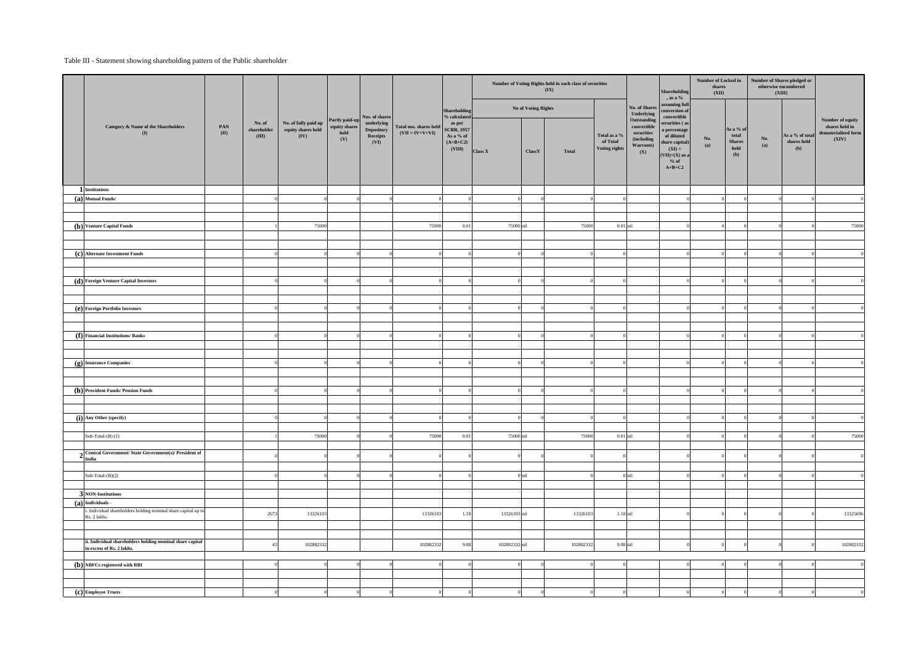### Table III - Statement showing shareholding pattern of the Public shareholder

|                                                                                |             |                                |                                                    |                                   |                                              |                                             |                                                                  | Number of Voting Rights held in each class of securities<br>(IX) |                     |              |                                           |                                                             | Shareholding<br>, as a $%$                                                                                           | Number of Locked in<br>shares<br>(XII) |                                                    | Number of Shares pledged or<br>otherwise encumbered<br>(XIII) |                                       |                                                |
|--------------------------------------------------------------------------------|-------------|--------------------------------|----------------------------------------------------|-----------------------------------|----------------------------------------------|---------------------------------------------|------------------------------------------------------------------|------------------------------------------------------------------|---------------------|--------------|-------------------------------------------|-------------------------------------------------------------|----------------------------------------------------------------------------------------------------------------------|----------------------------------------|----------------------------------------------------|---------------------------------------------------------------|---------------------------------------|------------------------------------------------|
|                                                                                |             |                                |                                                    | Partly paid-up                    | Nos. of shares                               |                                             | <b>Shareholding</b><br>% calculated                              |                                                                  | No of Voting Rights |              |                                           | No. of Shares<br>Underlying<br>Outstanding                  | assuming full<br>conversion of<br>convertible                                                                        |                                        |                                                    |                                                               |                                       | Number of equity                               |
| Category & Name of the Shareholders<br>$\mathbf{I}$                            | PAN<br>(II) | No. of<br>shareholder<br>(III) | No. of fully paid up<br>equity shares held<br>(IV) | $\,$ equity shares<br>held<br>(V) | underlying<br>Depository<br>Receipts<br>(VI) | Total nos. shares held<br>$(VII = IV+V+VI)$ | as per<br><b>SCRR, 1957</b><br>As a % of<br>$(A+B+C2)$<br>(VIII) | Class X                                                          | ClassY              | <b>Total</b> | Total as a %<br>of Total<br>Voting rights | convertible<br>securities<br>(including<br>Warrants)<br>(X) | securities (as<br>a percentage<br>of diluted<br>share capital)<br>$(XI) =$<br>$(VII)+(X)$ as a<br>$%$ of<br>$A+B+C2$ | No.<br>(a)                             | As a % of<br>total<br><b>Shares</b><br>held<br>(b) | No.<br>(a)                                                    | As a % of total<br>shares held<br>(b) | shares held in<br>dematerialized form<br>(XIV) |
| 1 Institutions                                                                 |             |                                |                                                    |                                   |                                              |                                             |                                                                  |                                                                  |                     |              |                                           |                                                             |                                                                                                                      |                                        |                                                    |                                                               |                                       |                                                |
| (a) Mutual Funds/                                                              |             |                                |                                                    |                                   |                                              |                                             |                                                                  |                                                                  |                     |              |                                           |                                                             |                                                                                                                      |                                        |                                                    |                                                               |                                       | $\overline{0}$                                 |
|                                                                                |             |                                |                                                    |                                   |                                              |                                             |                                                                  |                                                                  |                     |              |                                           |                                                             |                                                                                                                      |                                        |                                                    |                                                               |                                       |                                                |
| (b) Venture Capital Funds                                                      |             |                                | 75000                                              |                                   |                                              | 75000                                       | 0.01                                                             | 75000 nil                                                        |                     | 75000        | $0.01$ nil                                |                                                             |                                                                                                                      |                                        |                                                    |                                                               |                                       | 75000                                          |
|                                                                                |             |                                |                                                    |                                   |                                              |                                             |                                                                  |                                                                  |                     |              |                                           |                                                             |                                                                                                                      |                                        |                                                    |                                                               |                                       |                                                |
|                                                                                |             |                                |                                                    |                                   |                                              |                                             |                                                                  |                                                                  |                     |              |                                           |                                                             |                                                                                                                      |                                        |                                                    |                                                               |                                       |                                                |
| (c) Alternate Investment Funds                                                 |             |                                |                                                    |                                   |                                              |                                             |                                                                  | $\Omega$                                                         |                     |              |                                           |                                                             |                                                                                                                      | $\Omega$                               |                                                    |                                                               |                                       | $\overline{0}$                                 |
|                                                                                |             |                                |                                                    |                                   |                                              |                                             |                                                                  |                                                                  |                     |              |                                           |                                                             |                                                                                                                      |                                        |                                                    |                                                               |                                       |                                                |
| (d) Foreign Venture Capital Investors                                          |             |                                |                                                    |                                   |                                              |                                             |                                                                  |                                                                  |                     |              |                                           |                                                             |                                                                                                                      |                                        |                                                    |                                                               |                                       | $\overline{0}$                                 |
|                                                                                |             |                                |                                                    |                                   |                                              |                                             |                                                                  |                                                                  |                     |              |                                           |                                                             |                                                                                                                      |                                        |                                                    |                                                               |                                       |                                                |
|                                                                                |             |                                |                                                    |                                   |                                              |                                             |                                                                  |                                                                  |                     |              |                                           |                                                             |                                                                                                                      |                                        |                                                    |                                                               |                                       |                                                |
| (e) Foreign Portfolio Investors                                                |             |                                |                                                    |                                   |                                              |                                             |                                                                  |                                                                  |                     |              |                                           |                                                             |                                                                                                                      |                                        |                                                    |                                                               |                                       | $\overline{0}$                                 |
|                                                                                |             |                                |                                                    |                                   |                                              |                                             |                                                                  |                                                                  |                     |              |                                           |                                                             |                                                                                                                      |                                        |                                                    |                                                               |                                       |                                                |
| (f) Financial Institutions/ Banks                                              |             |                                |                                                    |                                   |                                              |                                             |                                                                  | $\Omega$                                                         |                     |              |                                           |                                                             |                                                                                                                      |                                        |                                                    |                                                               |                                       | $\overline{0}$                                 |
|                                                                                |             |                                |                                                    |                                   |                                              |                                             |                                                                  |                                                                  |                     |              |                                           |                                                             |                                                                                                                      |                                        |                                                    |                                                               |                                       |                                                |
|                                                                                |             |                                |                                                    |                                   |                                              |                                             |                                                                  |                                                                  |                     |              |                                           |                                                             |                                                                                                                      |                                        |                                                    |                                                               |                                       |                                                |
| (g) Insurance Companies                                                        |             |                                |                                                    |                                   |                                              |                                             |                                                                  | $\Omega$                                                         |                     |              |                                           |                                                             |                                                                                                                      | $\Omega$                               |                                                    |                                                               |                                       | $\overline{0}$                                 |
|                                                                                |             |                                |                                                    |                                   |                                              |                                             |                                                                  |                                                                  |                     |              |                                           |                                                             |                                                                                                                      |                                        |                                                    |                                                               |                                       |                                                |
| (h) Provident Funds/ Pension Funds                                             |             |                                |                                                    |                                   |                                              |                                             |                                                                  |                                                                  |                     |              |                                           |                                                             |                                                                                                                      |                                        |                                                    |                                                               |                                       | $\overline{\mathbf{0}}$                        |
|                                                                                |             |                                |                                                    |                                   |                                              |                                             |                                                                  |                                                                  |                     |              |                                           |                                                             |                                                                                                                      |                                        |                                                    |                                                               |                                       |                                                |
|                                                                                |             |                                |                                                    |                                   |                                              |                                             |                                                                  |                                                                  |                     |              |                                           |                                                             |                                                                                                                      |                                        |                                                    |                                                               |                                       |                                                |
| (i) Any Other (specify)                                                        |             |                                |                                                    |                                   |                                              |                                             |                                                                  | $\Omega$                                                         |                     |              |                                           |                                                             |                                                                                                                      | $\overline{0}$                         |                                                    |                                                               |                                       | $\overline{0}$                                 |
|                                                                                |             |                                |                                                    |                                   |                                              |                                             |                                                                  |                                                                  |                     |              |                                           |                                                             |                                                                                                                      |                                        |                                                    |                                                               |                                       |                                                |
| Sub-Total- $(B)$ $(1)$                                                         |             |                                | 75000                                              |                                   |                                              | 75000                                       | 0.01                                                             | 75000 nil                                                        |                     | 75000        | $0.01$ nil                                |                                                             |                                                                                                                      |                                        |                                                    |                                                               |                                       | 75000                                          |
| Central Government/State Government(s)/ President of                           |             |                                |                                                    |                                   |                                              |                                             |                                                                  |                                                                  |                     |              |                                           |                                                             |                                                                                                                      |                                        |                                                    |                                                               |                                       | $\overline{0}$                                 |
| a India                                                                        |             |                                |                                                    |                                   |                                              |                                             |                                                                  |                                                                  |                     |              |                                           |                                                             |                                                                                                                      |                                        |                                                    |                                                               |                                       |                                                |
| Sub-Total- $(B)(2)$                                                            |             |                                |                                                    |                                   |                                              |                                             |                                                                  |                                                                  | $0$ nil             |              |                                           | $0$ nil                                                     |                                                                                                                      |                                        |                                                    |                                                               |                                       | $\overline{\mathbf{0}}$                        |
|                                                                                |             |                                |                                                    |                                   |                                              |                                             |                                                                  |                                                                  |                     |              |                                           |                                                             |                                                                                                                      |                                        |                                                    |                                                               |                                       |                                                |
| 3 NON-Institutions                                                             |             |                                |                                                    |                                   |                                              |                                             |                                                                  |                                                                  |                     |              |                                           |                                                             |                                                                                                                      |                                        |                                                    |                                                               |                                       |                                                |
| $(a)$ Individuals -                                                            |             |                                |                                                    |                                   |                                              |                                             |                                                                  |                                                                  |                     |              |                                           |                                                             |                                                                                                                      |                                        |                                                    |                                                               |                                       |                                                |
| i. Individual shareholders holding nominal share capital up to<br>Rs. 2 lakhs. |             | 2673                           | 13326103                                           |                                   |                                              | 13326103                                    | 1.18                                                             | 13326103 nil                                                     |                     | 13326103     | $1.18$ nil                                |                                                             |                                                                                                                      |                                        |                                                    |                                                               |                                       | 13325696                                       |
|                                                                                |             |                                |                                                    |                                   |                                              |                                             |                                                                  |                                                                  |                     |              |                                           |                                                             |                                                                                                                      |                                        |                                                    |                                                               |                                       |                                                |
| ii. Individual shareholders holding nominal share capital                      |             |                                |                                                    |                                   |                                              |                                             |                                                                  |                                                                  |                     |              |                                           |                                                             |                                                                                                                      |                                        |                                                    |                                                               |                                       |                                                |
| in excess of Rs. 2 lakhs.                                                      |             | $\overline{4}$                 | 102882332                                          |                                   |                                              | 102882332                                   | 9.08                                                             | 102882332 nil                                                    |                     | 102882332    | 9.08 nil                                  |                                                             |                                                                                                                      |                                        |                                                    |                                                               |                                       | 102882332                                      |
| $(b)$ NBFCs registered with RBI                                                |             |                                |                                                    |                                   |                                              |                                             |                                                                  |                                                                  |                     |              |                                           |                                                             |                                                                                                                      |                                        |                                                    |                                                               |                                       | $\overline{0}$                                 |
|                                                                                |             |                                |                                                    |                                   |                                              |                                             |                                                                  |                                                                  |                     |              |                                           |                                                             |                                                                                                                      |                                        |                                                    |                                                               |                                       |                                                |
|                                                                                |             |                                |                                                    |                                   |                                              |                                             |                                                                  |                                                                  |                     |              |                                           |                                                             |                                                                                                                      |                                        |                                                    |                                                               |                                       |                                                |
| (c) Employee Trusts                                                            |             |                                |                                                    |                                   |                                              |                                             |                                                                  |                                                                  |                     |              |                                           |                                                             |                                                                                                                      |                                        |                                                    |                                                               |                                       | $\overline{0}$                                 |
|                                                                                |             |                                |                                                    |                                   |                                              |                                             |                                                                  |                                                                  |                     |              |                                           |                                                             |                                                                                                                      |                                        |                                                    |                                                               |                                       |                                                |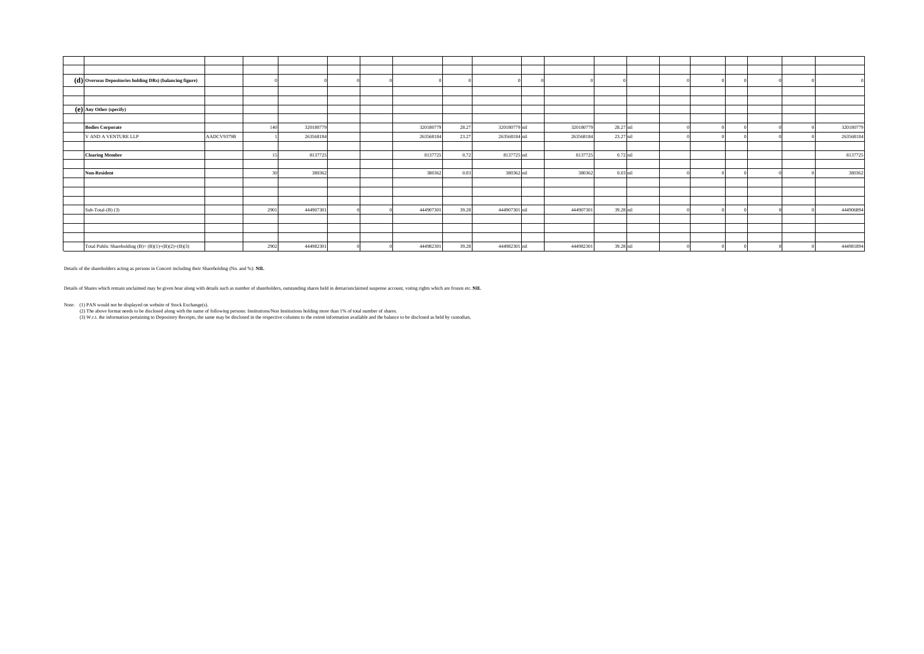| $\mathbf{d}(\mathbf{d})$ Overseas Depositories holding DRs) (balancing figure) |            |      |           |  |           |       |               |           |            |  |  |           |
|--------------------------------------------------------------------------------|------------|------|-----------|--|-----------|-------|---------------|-----------|------------|--|--|-----------|
|                                                                                |            |      |           |  |           |       |               |           |            |  |  |           |
|                                                                                |            |      |           |  |           |       |               |           |            |  |  |           |
| (e) Any Other (specify)                                                        |            |      |           |  |           |       |               |           |            |  |  |           |
|                                                                                |            |      |           |  |           |       |               |           |            |  |  |           |
| <b>Bodies Corporate</b>                                                        |            | 140  | 320180779 |  | 320180779 | 28.27 | 320180779 nil | 320180779 | 28.27 nil  |  |  | 320180779 |
| V AND A VENTURE LLP                                                            | AADCV9379B |      | 263568184 |  | 263568184 | 23.27 | 263568184 nil | 263568184 | 23.27 nil  |  |  | 263568184 |
|                                                                                |            |      |           |  |           |       |               |           |            |  |  |           |
| <b>Clearing Member</b>                                                         |            |      | 8137725   |  | 8137725   | 0.72  | 8137725 nil   | 8137725   | $0.72$ nil |  |  | 8137725   |
|                                                                                |            |      |           |  |           |       |               |           |            |  |  |           |
| <b>Non-Resident</b>                                                            |            |      | 380362    |  | 380362    | 0.03  | 380362 nil    | 380362    | $0.03$ nil |  |  | 380362    |
|                                                                                |            |      |           |  |           |       |               |           |            |  |  |           |
|                                                                                |            |      |           |  |           |       |               |           |            |  |  |           |
|                                                                                |            |      |           |  |           |       |               |           |            |  |  |           |
| Sub-Total- $(B)$ (3)                                                           |            | 2901 | 444907301 |  | 444907301 | 39.28 | 444907301 nil | 444907301 | 39.28 nil  |  |  | 444906894 |
|                                                                                |            |      |           |  |           |       |               |           |            |  |  |           |
|                                                                                |            |      |           |  |           |       |               |           |            |  |  |           |
|                                                                                |            |      |           |  |           |       |               |           |            |  |  |           |
| Total Public Shareholding (B)= $(B)(1)+(B)(2)+(B)(3)$                          |            | 2902 | 444982301 |  | 444982301 | 39.28 | 444982301 nil | 444982301 | 39.28 nil  |  |  | 444981894 |

Note: (1) PAN would not be displayed on website of Stock Exchange(s).

(2) The above format needs to be disclosed along with the name of following persons: Institutions/Non Institutions holding more than 1% of total number of shares.

(3) W.r.t. the information pertaining to Depository Receipts, the same may be disclosed in the respective columns to the extent information available and the balance to be disclosed as held by custodian,

Details of the shareholders acting as persons in Concert including their Shareholding (No. and %): **NIL**

Details of Shares which remain unclaimed may be given hear along with details such as number of shareholders, outstanding shares held in demat/unclaimed suspense account, voting rights which are frozen etc. NIL